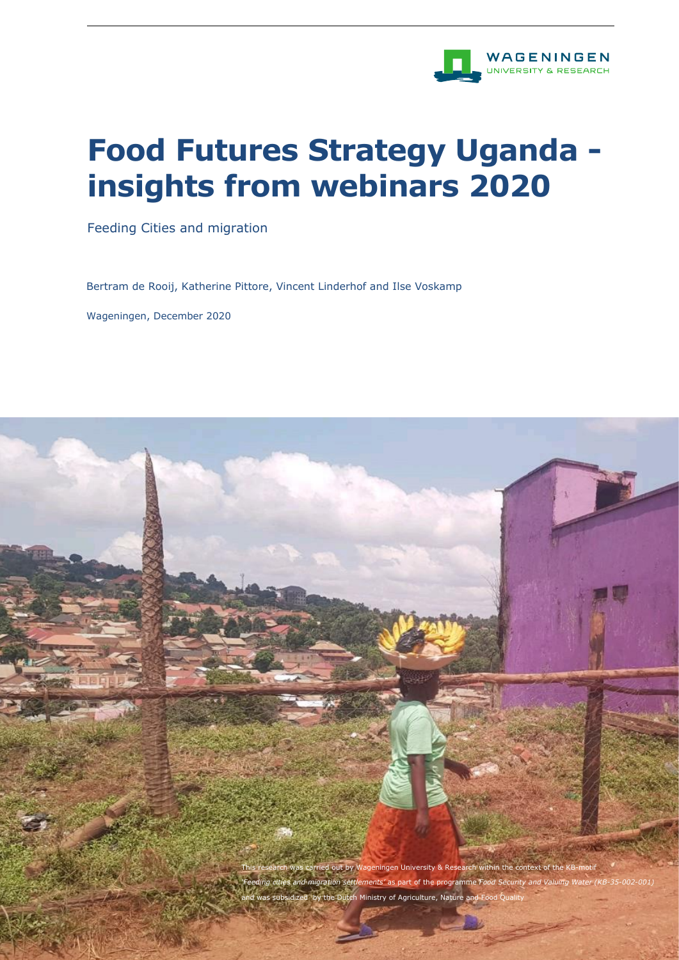

# **Food Futures Strategy Uganda insights from webinars 2020**

Feeding Cities and migration

Bertram de Rooij, Katherine Pittore, Vincent Linderhof and Ilse Voskamp

Wageningen, December 2020

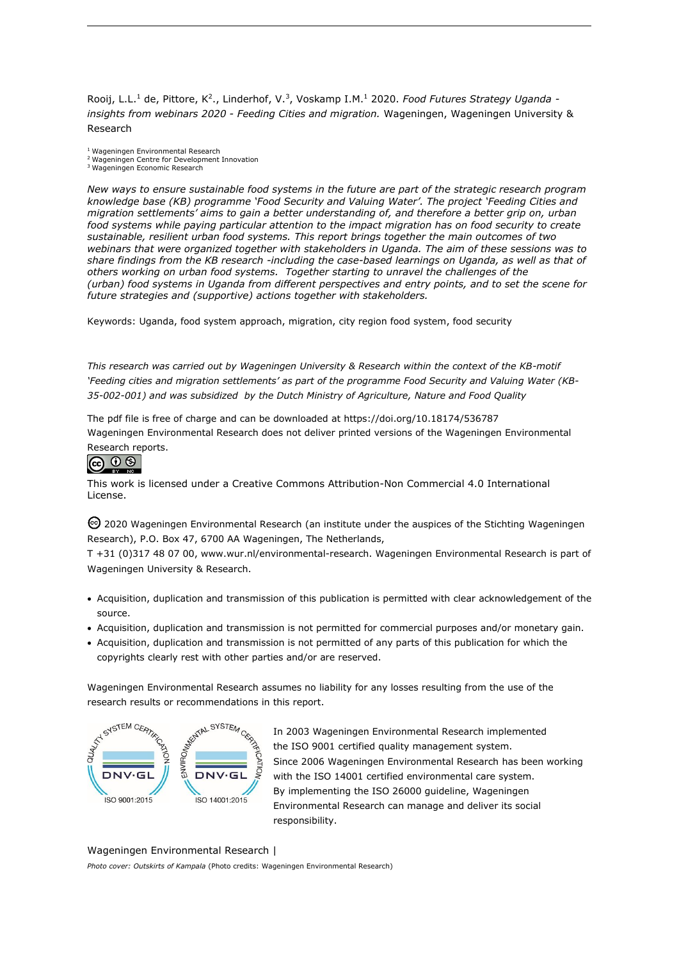Rooij, L.L.<sup>1</sup> de, Pittore, K<sup>2</sup>., Linderhof, V.<sup>3</sup>, Voskamp I.M.<sup>1</sup> 2020. *Food Futures Strategy Uganda insights from webinars 2020 - Feeding Cities and migration.* Wageningen, Wageningen University & Research

<sup>1</sup>Wageningen Environmental Research

<sup>2</sup>Wageningen Centre for Development Innovation

<sup>3</sup>Wageningen Economic Research

*New ways to ensure sustainable food systems in the future are part of the strategic research program knowledge base (KB) programme 'Food Security and Valuing Water'. The project 'Feeding Cities and migration settlements' aims to gain a better understanding of, and therefore a better grip on, urban food systems while paying particular attention to the impact migration has on food security to create sustainable, resilient urban food systems. This report brings together the main outcomes of two webinars that were organized together with stakeholders in Uganda. The aim of these sessions was to share findings from the KB research -including the case-based learnings on Uganda, as well as that of others working on urban food systems. Together starting to unravel the challenges of the (urban) food systems in Uganda from different perspectives and entry points, and to set the scene for future strategies and (supportive) actions together with stakeholders.*

Keywords: Uganda, food system approach, migration, city region food system, food security

*This research was carried out by Wageningen University & Research within the context of the KB-motif*  'Feeding cities and migration settlements' as part of the programme Food Security and Valuing Water (KB-*35-002-001) and was subsidized by the Dutch Ministry of Agriculture, Nature and Food Quality*

The pdf file is free of charge and can be downloaded at<https://doi.org/10.18174/536787> Wageningen Environmental Research does not deliver printed versions of the Wageningen Environmental Research reports.

### @ 0 ®

This work is licensed under a Creative Commons Attribution-Non Commercial 4.0 International License.

2020 Wageningen Environmental Research (an institute under the auspices of the Stichting Wageningen Research), P.O. Box 47, 6700 AA Wageningen, The Netherlands,

T +31 (0)317 48 07 00, [www.wur.nl/environmental-research.](http://www.wur.nl/environmental-research) Wageningen Environmental Research is part of Wageningen University & Research.

- Acquisition, duplication and transmission of this publication is permitted with clear acknowledgement of the source.
- Acquisition, duplication and transmission is not permitted for commercial purposes and/or monetary gain.
- Acquisition, duplication and transmission is not permitted of any parts of this publication for which the copyrights clearly rest with other parties and/or are reserved.

Wageningen Environmental Research assumes no liability for any losses resulting from the use of the research results or recommendations in this report.



In 2003 Wageningen Environmental Research implemented the ISO 9001 certified quality management system. Since 2006 Wageningen Environmental Research has been working with the ISO 14001 certified environmental care system. By implementing the ISO 26000 guideline, Wageningen Environmental Research can manage and deliver its social responsibility.

### Wageningen Environmental Research |

*Photo cover: Outskirts of Kampala* (Photo credits: Wageningen Environmental Research)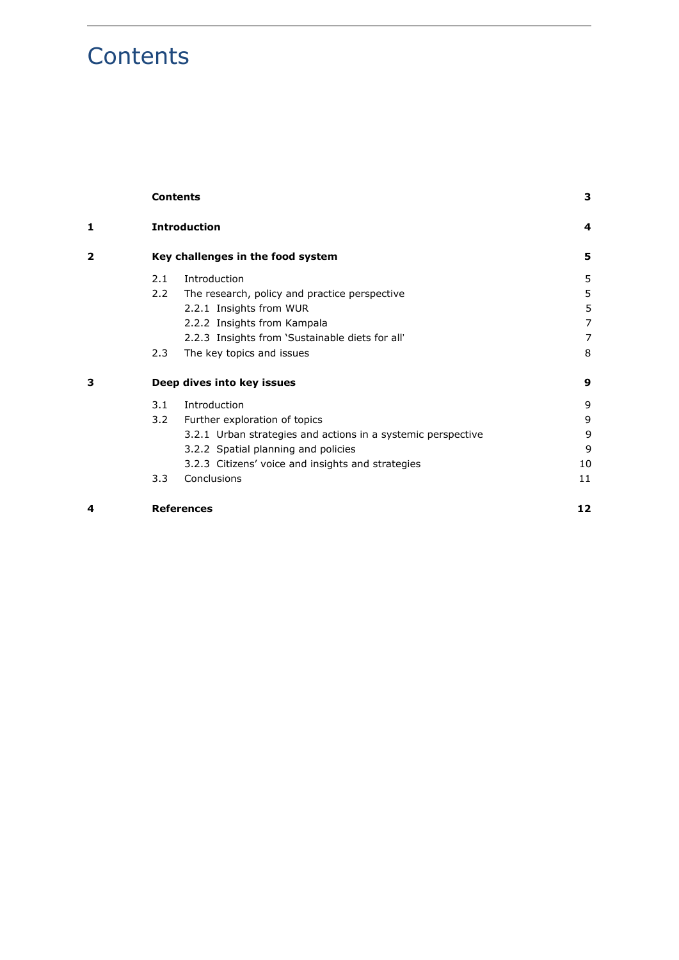# <span id="page-2-0"></span>**Contents**

|   |                                                          | <b>Contents</b>                                              | 3                       |
|---|----------------------------------------------------------|--------------------------------------------------------------|-------------------------|
| 1 | <b>Introduction</b><br>Key challenges in the food system |                                                              | $\overline{\mathbf{4}}$ |
| 2 |                                                          |                                                              | 5                       |
|   | 2.1                                                      | Introduction                                                 | 5                       |
|   | $2.2^{\circ}$                                            | The research, policy and practice perspective                | 5                       |
|   |                                                          | 2.2.1 Insights from WUR                                      | 5                       |
|   |                                                          | 2.2.2 Insights from Kampala                                  | $\overline{7}$          |
|   |                                                          | 2.2.3 Insights from 'Sustainable diets for all'              | $\overline{7}$          |
|   | 2.3                                                      | The key topics and issues                                    | 8                       |
| 3 | Deep dives into key issues                               |                                                              | 9                       |
|   | 3.1                                                      | Introduction                                                 | 9                       |
|   | 3.2                                                      | Further exploration of topics                                | 9                       |
|   |                                                          | 3.2.1 Urban strategies and actions in a systemic perspective | 9                       |
|   |                                                          | 3.2.2 Spatial planning and policies                          | 9                       |
|   |                                                          | 3.2.3 Citizens' voice and insights and strategies            | 10                      |
|   | 3.3                                                      | Conclusions                                                  | 11                      |
| 4 | <b>References</b>                                        |                                                              | 12                      |
|   |                                                          |                                                              |                         |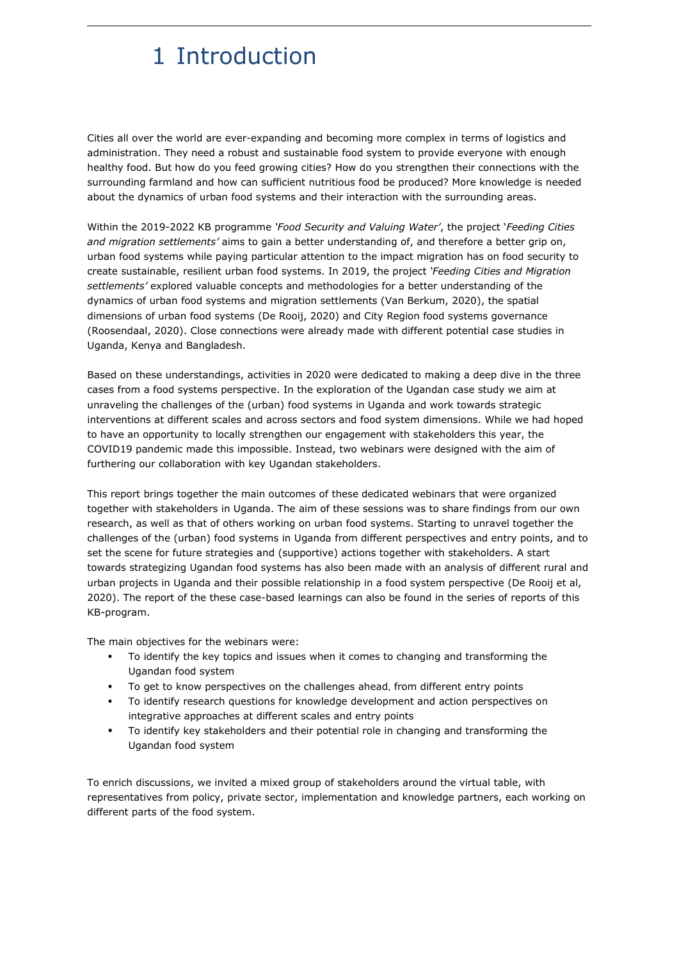# <span id="page-3-0"></span>1 Introduction

Cities all over the world are ever-expanding and becoming more complex in terms of logistics and administration. They need a robust and sustainable food system to provide everyone with enough healthy food. But how do you feed growing cities? How do you strengthen their connections with the surrounding farmland and how can sufficient nutritious food be produced? More knowledge is needed about the dynamics of urban food systems and their interaction with the surrounding areas.

Within the 2019-2022 KB programme *'Food Security and Valuing Water'*, the project '*Feeding Cities and migration settlements'* aims to gain a better understanding of, and therefore a better grip on, urban food systems while paying particular attention to the impact migration has on food security to create sustainable, resilient urban food systems. In 2019, the project *'Feeding Cities and Migration settlements'* explored valuable concepts and methodologies for a better understanding of the dynamics of urban food systems and migration settlements (Van Berkum, 2020), the spatial dimensions of urban food systems (De Rooij, 2020) and City Region food systems governance (Roosendaal, 2020). Close connections were already made with different potential case studies in Uganda, Kenya and Bangladesh.

Based on these understandings, activities in 2020 were dedicated to making a deep dive in the three cases from a food systems perspective. In the exploration of the Ugandan case study we aim at unraveling the challenges of the (urban) food systems in Uganda and work towards strategic interventions at different scales and across sectors and food system dimensions. While we had hoped to have an opportunity to locally strengthen our engagement with stakeholders this year, the COVID19 pandemic made this impossible. Instead, two webinars were designed with the aim of furthering our collaboration with key Ugandan stakeholders.

This report brings together the main outcomes of these dedicated webinars that were organized together with stakeholders in Uganda. The aim of these sessions was to share findings from our own research, as well as that of others working on urban food systems. Starting to unravel together the challenges of the (urban) food systems in Uganda from different perspectives and entry points, and to set the scene for future strategies and (supportive) actions together with stakeholders. A start towards strategizing Ugandan food systems has also been made with an analysis of different rural and urban projects in Uganda and their possible relationship in a food system perspective (De Rooij et al, 2020). The report of the these case-based learnings can also be found in the series of reports of this KB-program.

The main objectives for the webinars were:

- To identify the key topics and issues when it comes to changing and transforming the Ugandan food system
- To get to know perspectives on the challenges ahead, from different entry points
- To identify research questions for knowledge development and action perspectives on integrative approaches at different scales and entry points
- To identify key stakeholders and their potential role in changing and transforming the Ugandan food system

To enrich discussions, we invited a mixed group of stakeholders around the virtual table, with representatives from policy, private sector, implementation and knowledge partners, each working on different parts of the food system.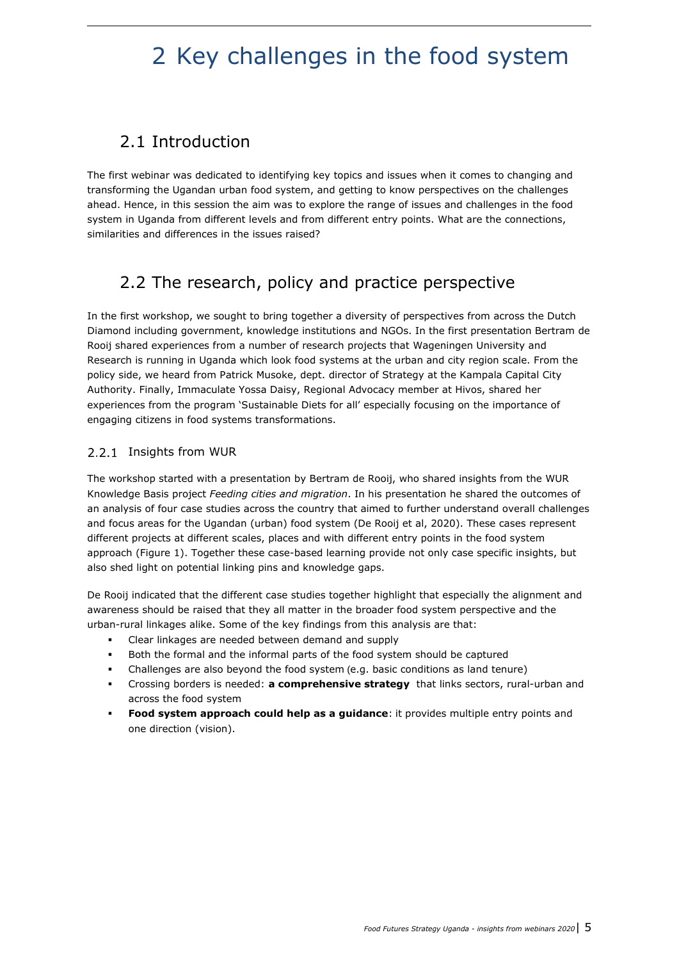# <span id="page-4-0"></span>2 Key challenges in the food system

# <span id="page-4-1"></span>2.1 Introduction

The first webinar was dedicated to identifying key topics and issues when it comes to changing and transforming the Ugandan urban food system, and getting to know perspectives on the challenges ahead. Hence, in this session the aim was to explore the range of issues and challenges in the food system in Uganda from different levels and from different entry points. What are the connections, similarities and differences in the issues raised?

## <span id="page-4-2"></span>2.2 The research, policy and practice perspective

In the first workshop, we sought to bring together a diversity of perspectives from across the Dutch Diamond including government, knowledge institutions and NGOs. In the first presentation Bertram de Rooij shared experiences from a number of research projects that Wageningen University and Research is running in Uganda which look food systems at the urban and city region scale. From the policy side, we heard from Patrick Musoke, dept. director of Strategy at the Kampala Capital City Authority. Finally, Immaculate Yossa Daisy, Regional Advocacy member at Hivos, shared her experiences from the program 'Sustainable Diets for all' especially focusing on the importance of engaging citizens in food systems transformations.

### <span id="page-4-3"></span>2.2.1 Insights from WUR

The workshop started with a presentation by Bertram de Rooij, who shared insights from the WUR Knowledge Basis project *Feeding cities and migration*. In his presentation he shared the outcomes of an analysis of four case studies across the country that aimed to further understand overall challenges and focus areas for the Ugandan (urban) food system (De Rooij et al, 2020). These cases represent different projects at different scales, places and with different entry points in the food system approach (Figure 1). Together these case-based learning provide not only case specific insights, but also shed light on potential linking pins and knowledge gaps.

De Rooij indicated that the different case studies together highlight that especially the alignment and awareness should be raised that they all matter in the broader food system perspective and the urban-rural linkages alike. Some of the key findings from this analysis are that:

- Clear linkages are needed between demand and supply
- Both the formal and the informal parts of the food system should be captured
- Challenges are also beyond the food system (e.g. basic conditions as land tenure)
- Crossing borders is needed: **a comprehensive strategy** that links sectors, rural-urban and across the food system
- **Food system approach could help as a guidance**: it provides multiple entry points and one direction (vision).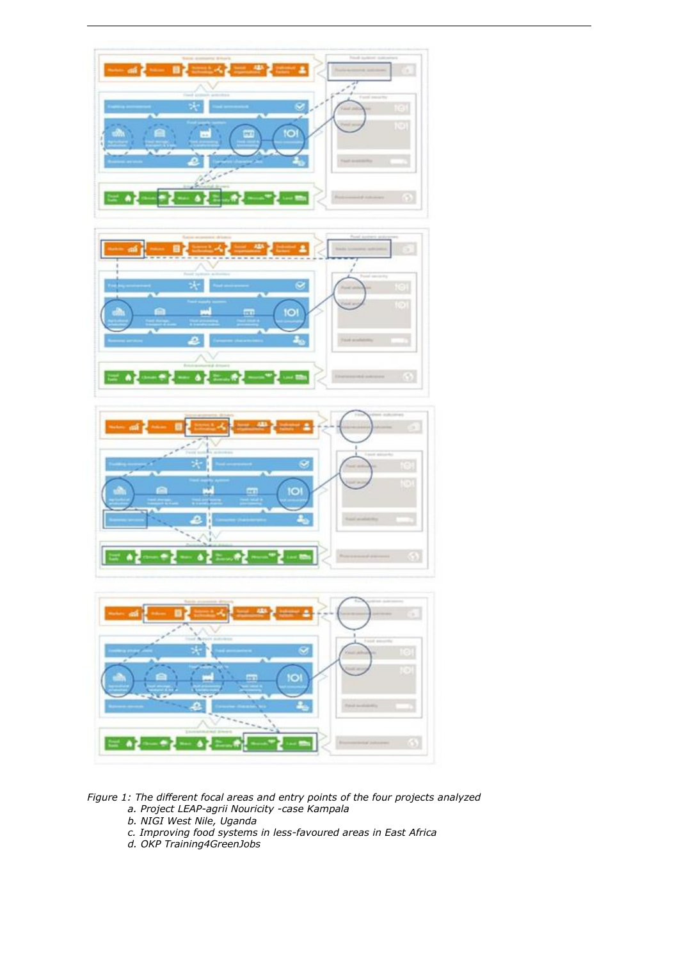

*Figure 1: The different focal areas and entry points of the four projects analyzed a. Project LEAP-agrii Nouricity -case Kampala*

- *b. NIGI West Nile, Uganda*
- *c. Improving food systems in less-favoured areas in East Africa*
- *d. OKP Training4GreenJobs*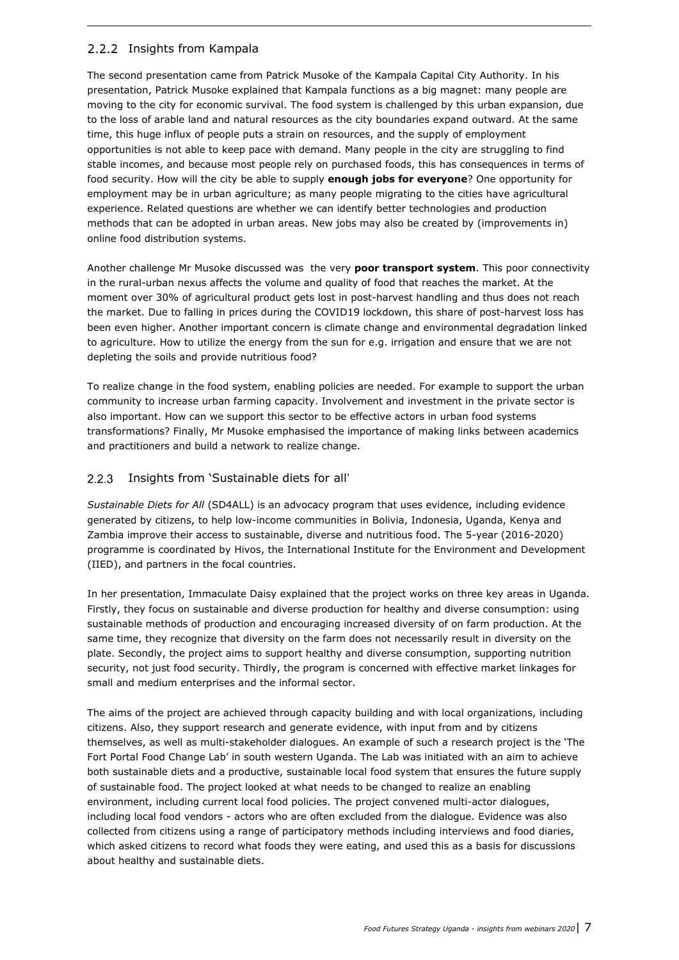### <span id="page-6-0"></span>2.2.2 Insights from Kampala

The second presentation came from Patrick Musoke of the Kampala Capital City Authority. In his presentation, Patrick Musoke explained that Kampala functions as a big magnet: many people are moving to the city for economic survival. The food system is challenged by this urban expansion, due to the loss of arable land and natural resources as the city boundaries expand outward. At the same time, this huge influx of people puts a strain on resources, and the supply of employment opportunities is not able to keep pace with demand. Many people in the city are struggling to find stable incomes, and because most people rely on purchased foods, this has consequences in terms of food security. How will the city be able to supply **enough jobs for everyone**? One opportunity for employment may be in urban agriculture; as many people migrating to the cities have agricultural experience. Related questions are whether we can identify better technologies and production methods that can be adopted in urban areas. New jobs may also be created by (improvements in) online food distribution systems.

Another challenge Mr Musoke discussed was the very **poor transport system**. This poor connectivity in the rural-urban nexus affects the volume and quality of food that reaches the market. At the moment over 30% of agricultural product gets lost in post-harvest handling and thus does not reach the market. Due to falling in prices during the COVID19 lockdown, this share of post-harvest loss has been even higher. Another important concern is climate change and environmental degradation linked to agriculture. How to utilize the energy from the sun for e.g. irrigation and ensure that we are not depleting the soils and provide nutritious food?

To realize change in the food system, enabling policies are needed. For example to support the urban community to increase urban farming capacity. Involvement and investment in the private sector is also important. How can we support this sector to be effective actors in urban food systems transformations? Finally, Mr Musoke emphasised the importance of making links between academics and practitioners and build a network to realize change.

#### <span id="page-6-1"></span> $2.2.3$ Insights from 'Sustainable diets for all'

*Sustainable Diets for All* (SD4ALL) is an advocacy program that uses evidence, including evidence generated by citizens, to help low-income communities in Bolivia, Indonesia, Uganda, Kenya and Zambia improve their access to sustainable, diverse and nutritious food. The 5-year (2016-2020) programme is coordinated by Hivos, the International Institute for the Environment and Development (IIED), and partners in the focal countries.

In her presentation, Immaculate Daisy explained that the project works on three key areas in Uganda. Firstly, they focus on sustainable and diverse production for healthy and diverse consumption: using sustainable methods of production and encouraging increased diversity of on farm production. At the same time, they recognize that diversity on the farm does not necessarily result in diversity on the plate. Secondly, the project aims to support healthy and diverse consumption, supporting nutrition security, not just food security. Thirdly, the program is concerned with effective market linkages for small and medium enterprises and the informal sector.

The aims of the project are achieved through capacity building and with local organizations, including citizens. Also, they support research and generate evidence, with input from and by citizens themselves, as well as multi-stakeholder dialogues. An example of such a research project is the 'The Fort Portal Food Change Lab' in south western Uganda. The Lab was initiated with an aim to achieve both sustainable diets and a productive, sustainable local food system that ensures the future supply of sustainable food. The project looked at what needs to be changed to realize an enabling environment, including current local food policies. The project convened multi-actor dialogues, including local food vendors - actors who are often excluded from the dialogue. Evidence was also collected from citizens using a range of participatory methods including interviews and food diaries, which asked citizens to record what foods they were eating, and used this as a basis for discussions about healthy and sustainable diets.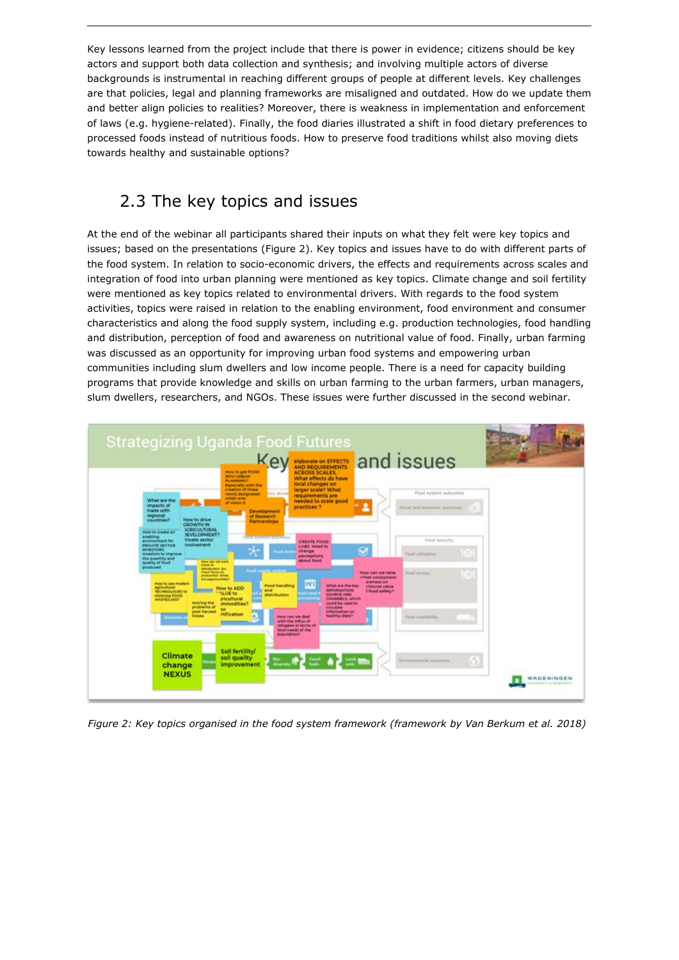Key lessons learned from the project include that there is power in evidence; citizens should be key actors and support both data collection and synthesis; and involving multiple actors of diverse backgrounds is instrumental in reaching different groups of people at different levels. Key challenges are that policies, legal and planning frameworks are misaligned and outdated. How do we update them and better align policies to realities? Moreover, there is weakness in implementation and enforcement of laws (e.g. hygiene-related). Finally, the food diaries illustrated a shift in food dietary preferences to processed foods instead of nutritious foods. How to preserve food traditions whilst also moving diets towards healthy and sustainable options?

## <span id="page-7-0"></span>2.3 The key topics and issues

At the end of the webinar all participants shared their inputs on what they felt were key topics and issues; based on the presentations (Figure 2). Key topics and issues have to do with different parts of the food system. In relation to socio-economic drivers, the effects and requirements across scales and integration of food into urban planning were mentioned as key topics. Climate change and soil fertility were mentioned as key topics related to environmental drivers. With regards to the food system activities, topics were raised in relation to the enabling environment, food environment and consumer characteristics and along the food supply system, including e.g. production technologies, food handling and distribution, perception of food and awareness on nutritional value of food. Finally, urban farming was discussed as an opportunity for improving urban food systems and empowering urban communities including slum dwellers and low income people. There is a need for capacity building programs that provide knowledge and skills on urban farming to the urban farmers, urban managers, slum dwellers, researchers, and NGOs. These issues were further discussed in the second webinar.



*Figure 2: Key topics organised in the food system framework (framework by Van Berkum et al. 2018)*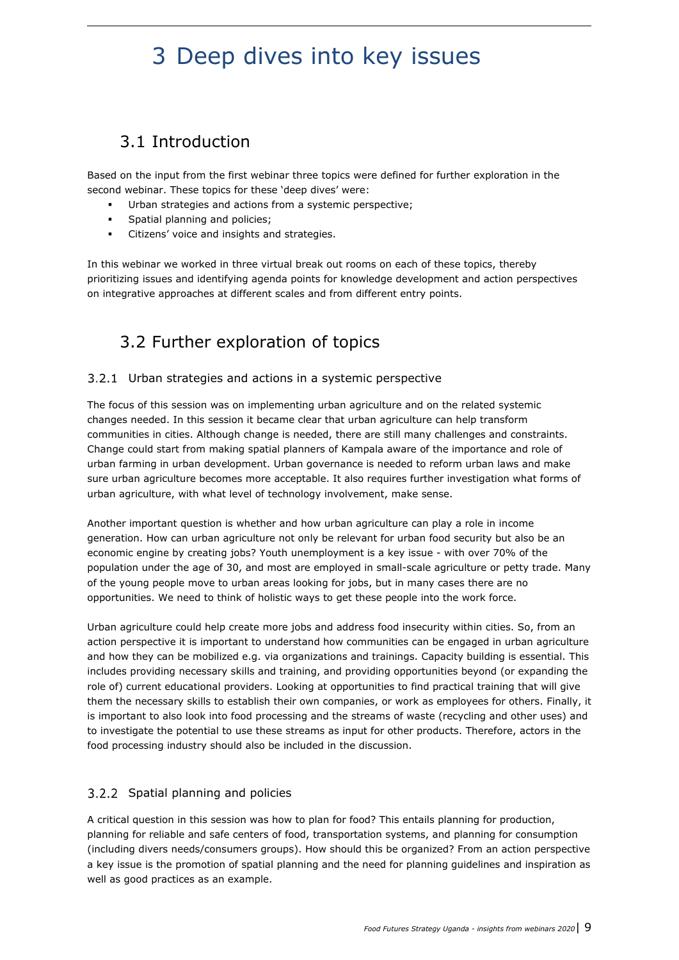# <span id="page-8-0"></span>3 Deep dives into key issues

# <span id="page-8-1"></span>3.1 Introduction

Based on the input from the first webinar three topics were defined for further exploration in the second webinar. These topics for these 'deep dives' were:

- Urban strategies and actions from a systemic perspective;
- Spatial planning and policies;
- Citizens' voice and insights and strategies.

<span id="page-8-2"></span>In this webinar we worked in three virtual break out rooms on each of these topics, thereby prioritizing issues and identifying agenda points for knowledge development and action perspectives on integrative approaches at different scales and from different entry points.

## 3.2 Further exploration of topics

### <span id="page-8-3"></span>3.2.1 Urban strategies and actions in a systemic perspective

The focus of this session was on implementing urban agriculture and on the related systemic changes needed. In this session it became clear that urban agriculture can help transform communities in cities. Although change is needed, there are still many challenges and constraints. Change could start from making spatial planners of Kampala aware of the importance and role of urban farming in urban development. Urban governance is needed to reform urban laws and make sure urban agriculture becomes more acceptable. It also requires further investigation what forms of urban agriculture, with what level of technology involvement, make sense.

Another important question is whether and how urban agriculture can play a role in income generation. How can urban agriculture not only be relevant for urban food security but also be an economic engine by creating jobs? Youth unemployment is a key issue - with over 70% of the population under the age of 30, and most are employed in small-scale agriculture or petty trade. Many of the young people move to urban areas looking for jobs, but in many cases there are no opportunities. We need to think of holistic ways to get these people into the work force.

Urban agriculture could help create more jobs and address food insecurity within cities. So, from an action perspective it is important to understand how communities can be engaged in urban agriculture and how they can be mobilized e.g. via organizations and trainings. Capacity building is essential. This includes providing necessary skills and training, and providing opportunities beyond (or expanding the role of) current educational providers. Looking at opportunities to find practical training that will give them the necessary skills to establish their own companies, or work as employees for others. Finally, it is important to also look into food processing and the streams of waste (recycling and other uses) and to investigate the potential to use these streams as input for other products. Therefore, actors in the food processing industry should also be included in the discussion.

### <span id="page-8-4"></span>3.2.2 Spatial planning and policies

A critical question in this session was how to plan for food? This entails planning for production, planning for reliable and safe centers of food, transportation systems, and planning for consumption (including divers needs/consumers groups). How should this be organized? From an action perspective a key issue is the promotion of spatial planning and the need for planning guidelines and inspiration as well as good practices as an example.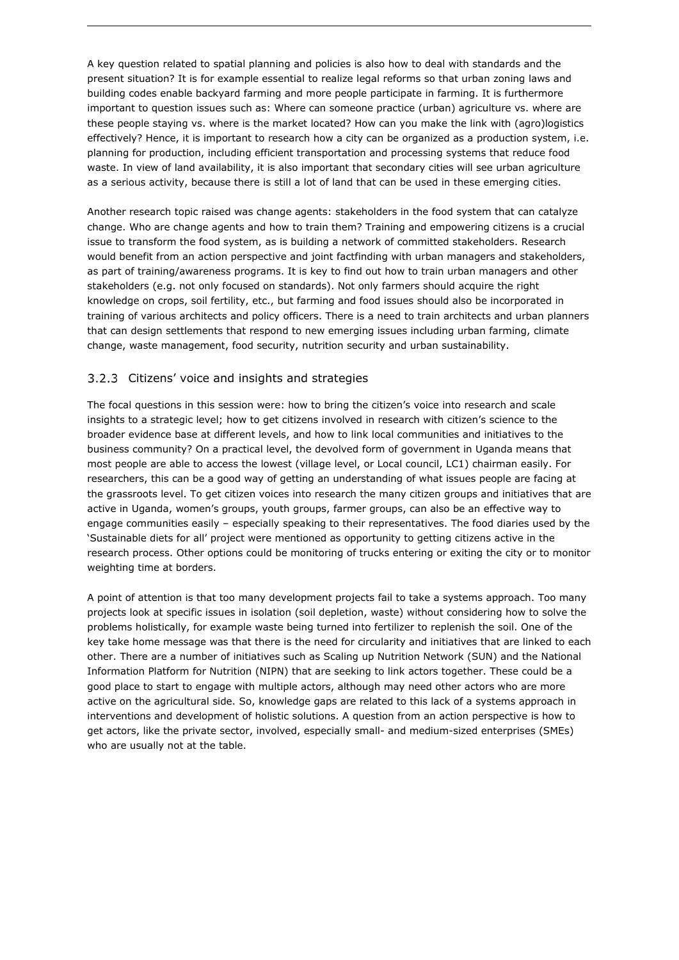A key question related to spatial planning and policies is also how to deal with standards and the present situation? It is for example essential to realize legal reforms so that urban zoning laws and building codes enable backyard farming and more people participate in farming. It is furthermore important to question issues such as: Where can someone practice (urban) agriculture vs. where are these people staying vs. where is the market located? How can you make the link with (agro)logistics effectively? Hence, it is important to research how a city can be organized as a production system, i.e. planning for production, including efficient transportation and processing systems that reduce food waste. In view of land availability, it is also important that secondary cities will see urban agriculture as a serious activity, because there is still a lot of land that can be used in these emerging cities.

Another research topic raised was change agents: stakeholders in the food system that can catalyze change. Who are change agents and how to train them? Training and empowering citizens is a crucial issue to transform the food system, as is building a network of committed stakeholders. Research would benefit from an action perspective and joint factfinding with urban managers and stakeholders, as part of training/awareness programs. It is key to find out how to train urban managers and other stakeholders (e.g. not only focused on standards). Not only farmers should acquire the right knowledge on crops, soil fertility, etc., but farming and food issues should also be incorporated in training of various architects and policy officers. There is a need to train architects and urban planners that can design settlements that respond to new emerging issues including urban farming, climate change, waste management, food security, nutrition security and urban sustainability.

### <span id="page-9-0"></span>3.2.3 Citizens' voice and insights and strategies

The focal questions in this session were: how to bring the citizen's voice into research and scale insights to a strategic level; how to get citizens involved in research with citizen's science to the broader evidence base at different levels, and how to link local communities and initiatives to the business community? On a practical level, the devolved form of government in Uganda means that most people are able to access the lowest (village level, or Local council, LC1) chairman easily. For researchers, this can be a good way of getting an understanding of what issues people are facing at the grassroots level. To get citizen voices into research the many citizen groups and initiatives that are active in Uganda, women's groups, youth groups, farmer groups, can also be an effective way to engage communities easily – especially speaking to their representatives. The food diaries used by the 'Sustainable diets for all' project were mentioned as opportunity to getting citizens active in the research process. Other options could be monitoring of trucks entering or exiting the city or to monitor weighting time at borders.

A point of attention is that too many development projects fail to take a systems approach. Too many projects look at specific issues in isolation (soil depletion, waste) without considering how to solve the problems holistically, for example waste being turned into fertilizer to replenish the soil. One of the key take home message was that there is the need for circularity and initiatives that are linked to each other. There are a number of initiatives such as Scaling up Nutrition Network (SUN) and the National Information Platform for Nutrition (NIPN) that are seeking to link actors together. These could be a good place to start to engage with multiple actors, although may need other actors who are more active on the agricultural side. So, knowledge gaps are related to this lack of a systems approach in interventions and development of holistic solutions. A question from an action perspective is how to get actors, like the private sector, involved, especially small- and medium-sized enterprises (SMEs) who are usually not at the table.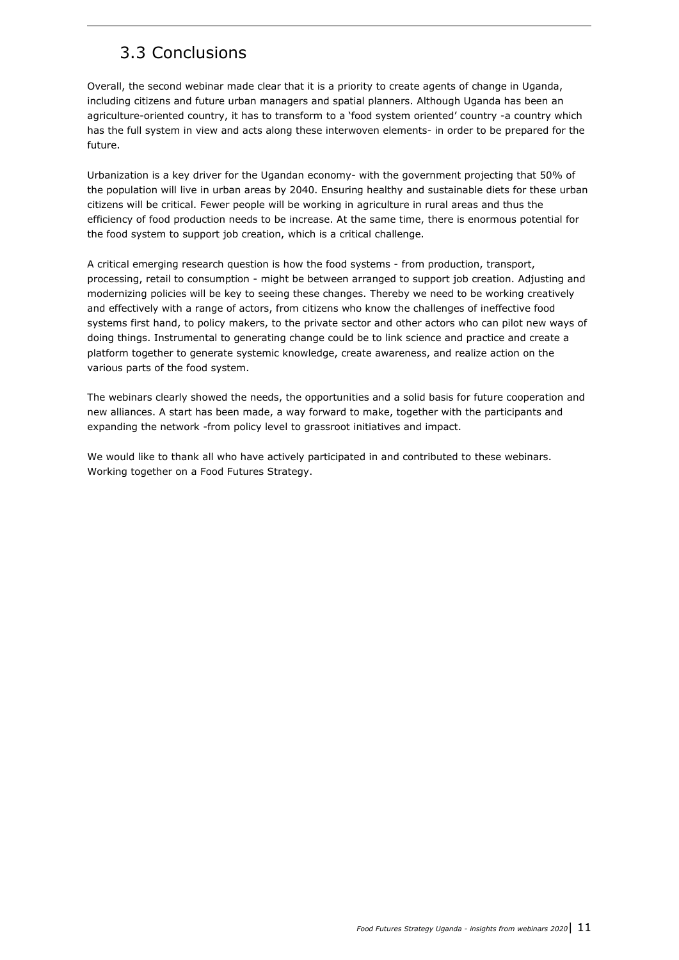## <span id="page-10-0"></span>3.3 Conclusions

Overall, the second webinar made clear that it is a priority to create agents of change in Uganda, including citizens and future urban managers and spatial planners. Although Uganda has been an agriculture-oriented country, it has to transform to a 'food system oriented' country -a country which has the full system in view and acts along these interwoven elements- in order to be prepared for the future.

Urbanization is a key driver for the Ugandan economy- with the government projecting that 50% of the population will live in urban areas by 2040. Ensuring healthy and sustainable diets for these urban citizens will be critical. Fewer people will be working in agriculture in rural areas and thus the efficiency of food production needs to be increase. At the same time, there is enormous potential for the food system to support job creation, which is a critical challenge.

A critical emerging research question is how the food systems - from production, transport, processing, retail to consumption - might be between arranged to support job creation. Adjusting and modernizing policies will be key to seeing these changes. Thereby we need to be working creatively and effectively with a range of actors, from citizens who know the challenges of ineffective food systems first hand, to policy makers, to the private sector and other actors who can pilot new ways of doing things. Instrumental to generating change could be to link science and practice and create a platform together to generate systemic knowledge, create awareness, and realize action on the various parts of the food system.

The webinars clearly showed the needs, the opportunities and a solid basis for future cooperation and new alliances. A start has been made, a way forward to make, together with the participants and expanding the network -from policy level to grassroot initiatives and impact.

We would like to thank all who have actively participated in and contributed to these webinars. Working together on a Food Futures Strategy.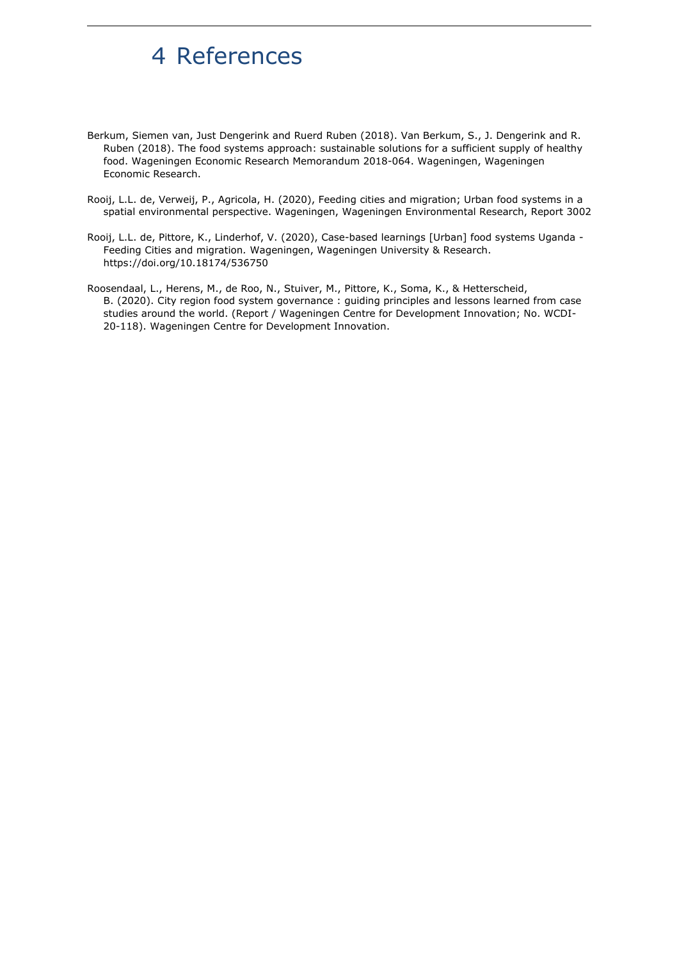# <span id="page-11-0"></span>4 References

- Berkum, Siemen van, Just Dengerink and Ruerd Ruben (2018). Van Berkum, S., J. Dengerink and R. Ruben (2018). The food systems approach: sustainable solutions for a sufficient supply of healthy food. Wageningen Economic Research Memorandum 2018-064. Wageningen, Wageningen Economic Research.
- Rooij, L.L. de, Verweij, P., Agricola, H. (2020), Feeding cities and migration; Urban food systems in a spatial environmental perspective. Wageningen, Wageningen Environmental Research, Report 3002
- Rooij, L.L. de, Pittore, K., Linderhof, V. (2020), Case-based learnings [Urban] food systems Uganda Feeding Cities and migration*.* Wageningen, Wageningen University & Research. https://doi.org/10.18174/536750
- Roosendaal, L., Herens, M., de Roo, N., Stuiver, M., Pittore, K., Soma, K., & Hetterscheid, B. (2020). City region food system governance : guiding principles and lessons learned from case studies around the world. (Report / Wageningen Centre for Development Innovation; No. WCDI-20-118). Wageningen Centre for Development Innovation.